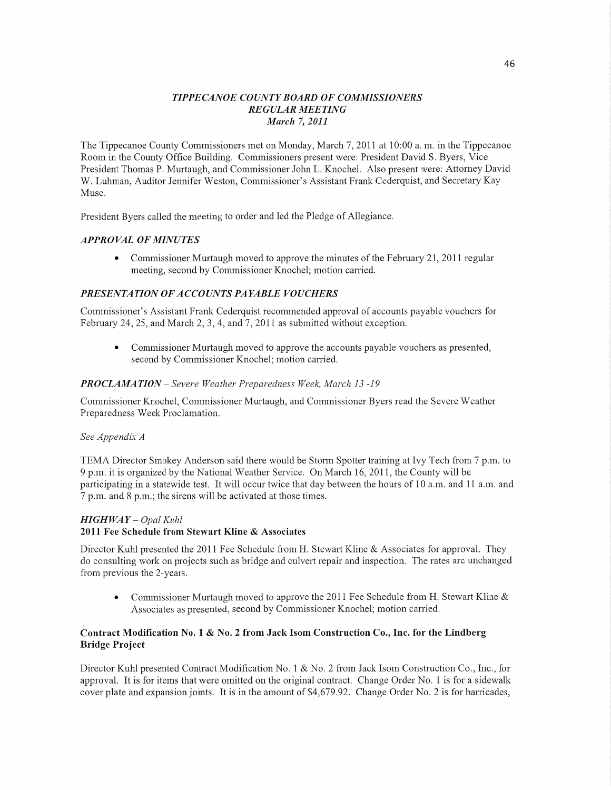## *TIPPE CANOE C 0* UN *T Y BOARD* OF *COMMISSIONERS REGULAR MEETING M arc/1* 7, *2* 011

The Tippecanoe County Commissioners met on Monday, March 7, 2011 at 10:00 a. m. in the Tippecanoe Room in the County Office Building. Commissioners present were: President David S. Byers, Vice President Thomas P. Murtaugh, and Commissioner John L. Knochel. Also present were: Attorney David W. Luhman, Auditor Jennifer Weston, Commissioner's Assistant Frank Cederquist, and Secretary Kay Muse.

President Byers called the meeting to order and led the Pledge of Allegiance.

## *APPROVAL* OF *MINUTES*

**0** Commissioner Murtaugh moved to approve the minutes of the February 21, 2011 regular meeting, second by Commissioner Knochel; motion carried.

## *PRESENTATION OFACCOUNTS PAYABLE VOUCHERS*

Commissioner's Assistant Frank Cederquist reconnnended approval of accounts payable vouchers for February 24, 25, and March 2, 3, 4, and 7, 2011 as submitted without exception.

**0** Commissioner Murtaugh moved to approve the accounts payable vouchers as presented, second by Commissioner Knochel; motion carried.

#### PROCLAMATION - Severe Weather Preparedness Week, March 13 -19

Commissioner Knochel, Commissioner Murtaugh, and Commissioner Byers read the Severe Weather Preparedness Week Proclamation.

#### See *Appendix A*

TEMA Director Smokey Anderson said there would be Storm Spotter training at Ivy Tech from **7** pm. to 9 pm. it is organized by the National Weather Service. On March 16, 2011, the County will be participating in a statewide test. It will occur twice that day between the hours of 10 a.m. and 11 a.m. and 7 p.m. and 8 p.m.; the sirens will be activated at those times.

# *HIGH* WAY *— Opal Kuhl*

## **2011** Fee Schedule from Stewart Kline **&** Associates

Director Kuhl presented the 2011 Fee Schedule from H. Stewart Kline & Associates for approval. They do consulting work on projects such as bridge and culvert repair and inspection. The rates are unchanged from previous the 2-years.

**0** Commissioner Murtaugh moved to approve the 2011 Fee Schedule from H. Stewart Kline & Associates as presented, second by Commissioner Knochel; motion carried.

## **Contract Modification** No. **1 &** No. **2 from Jack Isom Construction Co., Inc.** for the Lindberg Bridge **Project**

Director Kuhl presented Contract Modification No. 1 & No. 2 from Jack Isom Construction Co., Inc., for approval. It is for items that were omitted on the original contract. Change Order No. **1** is for a sidewalk cover plate and expansion joints. It is in the amount of \$4,679.92. Change Order No. 2 is for barricades,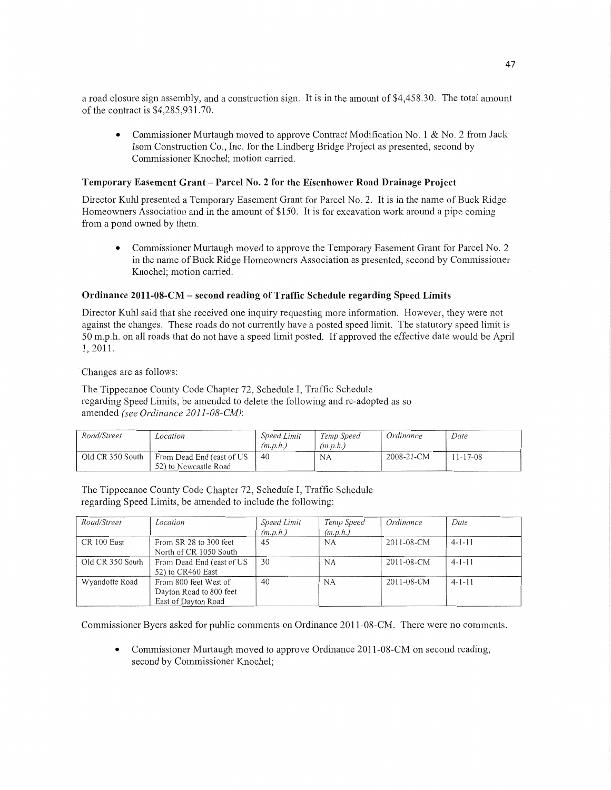a road closure sign assembly, and a construction sign. It is in the amount of \$4,458.30. The total amount of the contract is \$4,285,931.70.

**0** Commissioner Murtaugh moved to approve Contract Modification No. 1 & No. 2 from Jack Isom Construction Co., Inc. for the Lindberg Bridge Project as presented, second by Commissioner Knochel; motion carried.

#### **Temporary Easement Grant** — **Parcel** No. **2** for the **Eisenhower Road Drainage Project**

Director Kuhl presented **a** Temporary Easement Grant for Parcel No. 2. It is in the name of Buck Ridge Homeowners Association and in the amount of \$150. It is for excavation work around a pipe coming from a pond owned by **them.** 

**0** Commissioner Murtaugh moved to approve the Temporary Easement Grant for Parcel No. 2 in the name of Buck Ridge Homeowners Association as presented, second by Commissioner Knochel; motion carried.

#### **Ordinance 2011-08-CM** — **second** reading of **Traffic Schedule regarding Speed** Limits

Director Kuhl said that she received one inquiry requesting more information. However, they were not against the changes. These roads do not currently have a posted speed limit. The statutory speed limit is 50 mph. on all roads that do not have a speed limit posted. If approved the effective date would be April 1, 2011.

*'* Changes are as follows:

The Tippecanoe County Code Chapter 72, Schedule 1, Traffic Schedule regarding Speed Limits, be amended to delete the following and re-adopted as so amended *(see Ordinance 2011-08-CM):* 

| Road/Street      | Location                                           | <b>Speed Limit</b><br>(m.p.h.) | Temp Speed<br>(m.p.h.) | Ordinance  | Date          |
|------------------|----------------------------------------------------|--------------------------------|------------------------|------------|---------------|
| Old CR 350 South | From Dead End (east of US<br>52) to Newcastle Road | 40                             | NA                     | 2008-21-CM | $1 - 17 - 08$ |

The Tippecanoe County Code Chapter 72, Schedule I, Traffic Schedule regarding Speed Limits, be amended to include the following:

| Road/Street      | Location                                                                | Speed Limit<br>(m.p.h.) | Temp Speed<br>(m.p.h.) | Ordinance  | Date         |
|------------------|-------------------------------------------------------------------------|-------------------------|------------------------|------------|--------------|
| CR 100 East      | From SR 28 to 300 feet<br>North of CR 1050 South                        | 45                      | <b>NA</b>              | 2011-08-CM | $4 - 1 - 11$ |
| Old CR 350 South | From Dead End (east of US<br>52) to CR460 East                          | 30                      | <b>NA</b>              | 2011-08-CM | $4 - 1 - 11$ |
| Wyandotte Road   | From 800 feet West of<br>Dayton Road to 800 feet<br>East of Dayton Road | 40                      | <b>NA</b>              | 2011-08-CM | $4 - 1 - 11$ |

Commissioner Byers asked for public comments on Ordinance 2011-08-CM. There were no comments.

**0** Commissioner Murtaugh moved to approve Ordinance 2011-08-CM on second reading, second by Commissioner Knochel;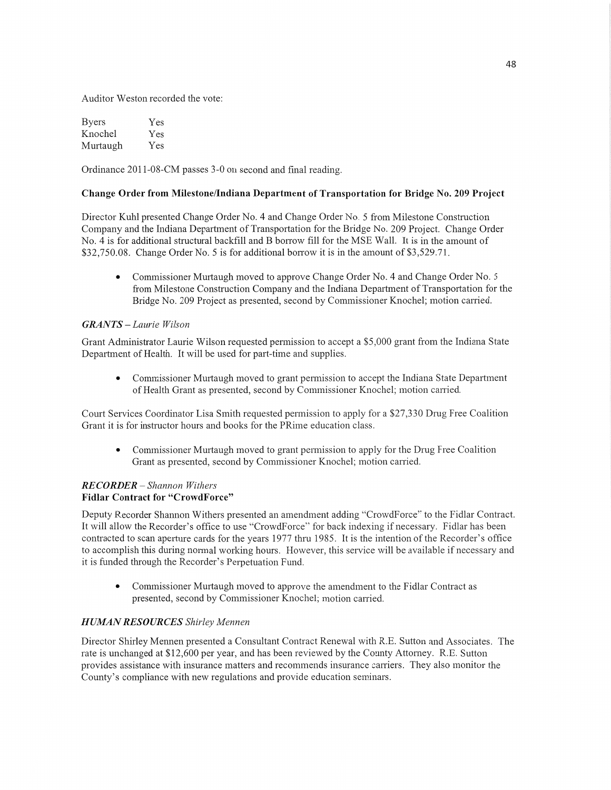Auditor Weston recorded the vote:

| <b>Byers</b> | Yes |
|--------------|-----|
| Knochel      | Yes |
| Murtaugh     | Yes |

Ordinance 2011-08-CM passes 3-0 on second and final reading.

#### Change Order from **Milestone/Indiana Department** of **Transportation** for Bridge No. 209 **Project**

Director Kuhl presented Change Order No. 4 and Change Order No. 5 from Milestone Construction Company and the Indiana Department of Transportation for the Bridge No. 209 Project. Change Order No. 4 is for additional structural backfill and B borrow fill for the MSE Wall. It is in the amount of \$32,750.08. Change Order No. 5 is for additional borrow it is in the amount of \$3,529.71.

*0* Commissioner Multaugh moved to approve Change Order No. 4 and Change Order No. 5 from Milestone Construction Company and the Indiana Department of Transportation for the Bridge No. 209 Project as presented, second by Commissioner Knochel; motion carried.

## *GRANTS* — *Laurie Wilson*

Grant Administrator Laurie Wilson requested permission to accept a \$5,000 grant from the Indiana State Department of Health. It will be used for part-time and supplies.

**0** Commissioner Murtaugh moved to grant permission to accept the Indiana State Department of Health Grant as presented, second by Commissioner Knochel; motion can'ied.

Court Services Coordinator Lisa Smith requested pennission to apply for *a* \$27,330 Drug Free Coalition Grant it is for instructor hours and books for the PRime education class.

**0** Commissioner Murtaugh moved to grant permission to apply for the Drug Free Coalition Grant as presented, second by Commissioner Knochel; motion carried.

#### *RECORDER* — *Shannon Withers*  Fidlar **Contract** for "CrowdForce"

Deputy Recorder Shannon Withers presented an amendment adding "CrowdForce" to the Fidlar Contract. It will allow the Recorder's office to use "CrowdForce" for back indexing if necessary. Fidlar has been contracted to scan aperture cards for the years 1977 thru 1985. It is the intention of the Recorder's office to accomplish this during normal working hours. However, this service will be available if necessary and it is funded through the Recorder's Perpetuation Fund.

**0** Commissioner Murtaugh moved to approve the amendment to the Fidlar Contract as presented, second by Commissioner Knochel; motion carried.

## **HUMAN RESOURCES** Shirley Mennen

Director Shirley Mennen presented a Consultant Contract Renewal with R.E. Sutton and Associates. The rate is unchanged at \$12,600 per year, and has been reviewed by the County Attorney. R.E. Sutton provides assistance with insurance matters and recommends insurance carriers. They also monitor the County's compliance with new regulations and provide education seminars.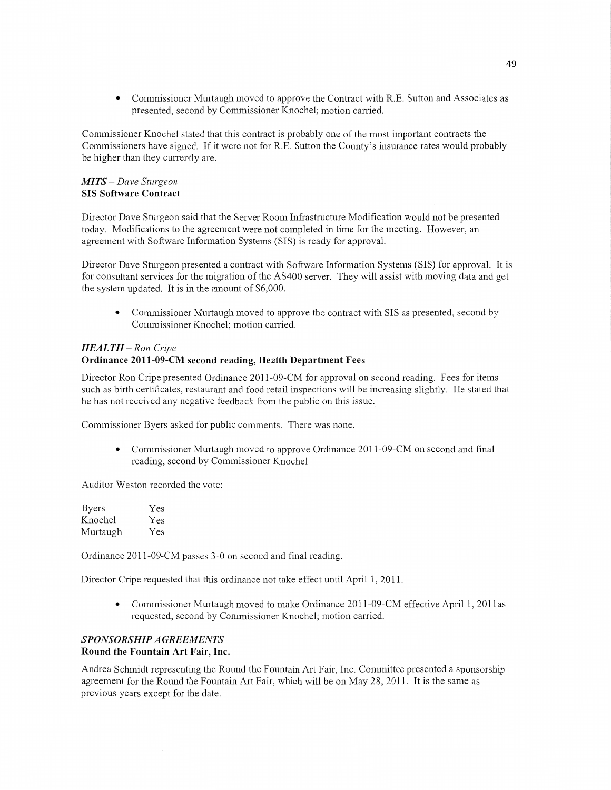**0** Commissioner Murtaugh moved to approve the Contract with R.E. Sutton and Associates as presented, second by Commissioner Knochel; **motion** carried.

Commissioner Knochel stated that this contract is probably one of the **most** important contracts the Commissioners have signed. If it were not for R.E. Sutton the County's insurance rates would probably be higher than they currently are.

#### MI *T S* — *Dave Sturgeon*  SIS **Software Contract**

Director Dave Sturgeon said **that** the Server Room Infrastructure Modification would not be presented today. Modifications to the agreement were not completed in time for the meeting. However, an agreement with Software Information Systems **(SIS)** is ready for approval.

Director Dave Sturgeon presented a contract with Software **Information** Systems **(SIS)** for approval. It is for consultant services for the migration of the AS400 server. They will assist with moving data and ge<sup>t</sup> the system updated. It is in the amount of \$6,000.

**0** Commissioner Murtaugh moved to approve the contract with SIS as presented, second by Commissioner Knochel; motion carried.

## *HEALTH* **—** Ron *Cripe*  **Ordinance 2011—09-CM** second reading, **Health Department Fees**

Director Ron Cripe presented Ordinance 2011-09-CM for approval on second reading. Fees for items such as birth certificates, restaurant and food retail inspections will be increasing slightly. He stated **that**  he has not received any negative feedback from the public on this issue.

Commissioner Byers asked for public comments. There was none.

**•** Commissioner Murtaugh moved to approve Ordinance 2011-09-CM on second and final reading, second by Commissioner Knochel

Auditor Weston recorded the vote:

| <b>Byers</b> | Yes |
|--------------|-----|
| Knochel      | Yes |
| Murtaugh     | Yes |

Ordinance 2011—09-CM passes 3-0 on second and final reading.

Director Cripe requested **that** this ordinance not take effect until April 1, 2011.

**0** Commissioner Murtaugh moved to make Ordinance 2011-09-CM effective April 1, 2011as requested, second by Commissioner Knochel; motion carried.

## *SPONSORSHIP A GREEMEN* TS

#### **Round** the **Fountain** Art **Fair, Inc.**

Andrea Schmidt representing the Round the Fountain Art Fair, Inc. Committee presented a sponsorship agreement for the Round the Fountain Art **Fair,** which will be on May 28, **2011.** It is the same as previous years except for the date.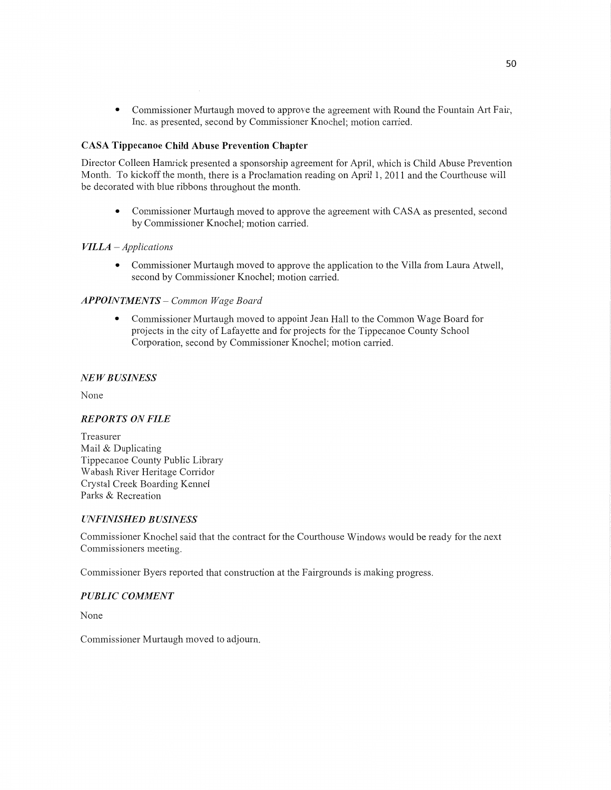**0** Commissioner Murtaugh moved to approve the agreement with Round the **Fountain** Art **Fair,**  Inc. as presented, second by Commissioner Knochel; motion canied.

## **CASA Tippecanoe Child Abuse Prevention Chapter**

Director Colleen Hamrick presented **<sup>a</sup>**sponsorship agreement for April, which is Child Abuse Prevention Month. To kickoff the month, there is a Proclamation reading on April 1, 2011 and the Courthouse Will be decorated With blue ribbons throughout the **month.** 

**0** Commissioner Murtaugh moved to approve the agreement with CASA as presented, second by Commissioner Knochel; motion carried.

## *VILLA* — *Applications*

**0** Commissioner Murtaugh moved to approve the application to the Villa from Laura Atwell, second by Commissioner Knochel; motion carried.

## *APPOINTMENTS* — *Common Wage Board*

**0** Commissioner Mur'taugh **moved** to appoint Jean Hall to the **Common** Wage Board for projects in the city of Lafayette and for projects for the Tippecanoe County School Corporation, second by Commissioner Knochel; **motion** carried.

## NE WB *USINESS*

None

## *REPORTS* ON *FILE*

Treasurer Mail & Duplicating Tippecanoe County Public Library Wabash River Heritage Corridor Crystal Creek Boarding Kennel Parks & Recreation

## *UNFINISHED BUSINESS*

Commissioner Knochel said **that** the contract for the Courthouse Windows would be ready for the next Commissioners meeting.

Commissioner Byers reported that construction at the Fairgrounds is making progress.

## *PUBLIC COMMENT*

None

Commissioner Murtaugh moved to adjourn.